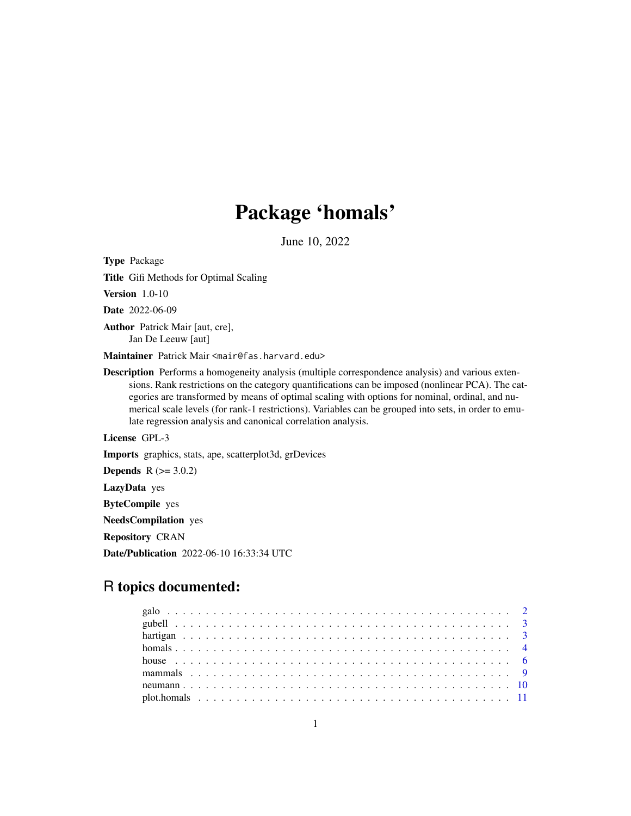## Package 'homals'

June 10, 2022

Title Gifi Methods for Optimal Scaling Version 1.0-10 Date 2022-06-09 Author Patrick Mair [aut, cre], Jan De Leeuw [aut] Maintainer Patrick Mair <mair@fas.harvard.edu> Description Performs a homogeneity analysis (multiple correspondence analysis) and various extensions. Rank restrictions on the category quantifications can be imposed (nonlinear PCA). The categories are transformed by means of optimal scaling with options for nominal, ordinal, and numerical scale levels (for rank-1 restrictions). Variables can be grouped into sets, in order to emulate regression analysis and canonical correlation analysis. License GPL-3 Imports graphics, stats, ape, scatterplot3d, grDevices **Depends** R  $(>= 3.0.2)$ LazyData yes ByteCompile yes NeedsCompilation yes

Repository CRAN

<span id="page-0-0"></span>Type Package

Date/Publication 2022-06-10 16:33:34 UTC

### R topics documented: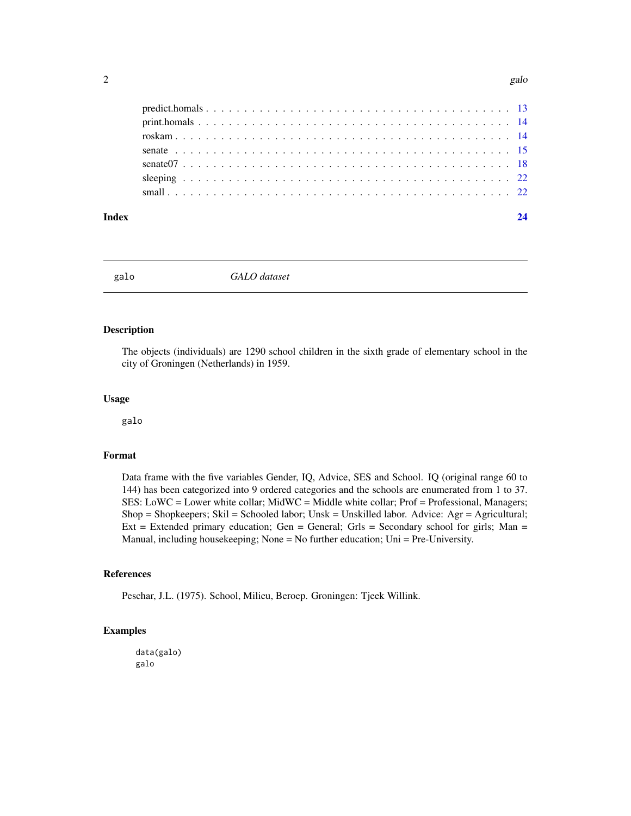<span id="page-1-0"></span>

#### **Index** [24](#page-23-0)

galo *GALO dataset*

#### Description

The objects (individuals) are 1290 school children in the sixth grade of elementary school in the city of Groningen (Netherlands) in 1959.

#### Usage

galo

#### Format

Data frame with the five variables Gender, IQ, Advice, SES and School. IQ (original range 60 to 144) has been categorized into 9 ordered categories and the schools are enumerated from 1 to 37. SES: LoWC = Lower white collar; MidWC = Middle white collar; Prof = Professional, Managers; Shop = Shopkeepers; Skil = Schooled labor; Unsk = Unskilled labor. Advice: Agr = Agricultural; Ext = Extended primary education; Gen = General; Grls = Secondary school for girls; Man = Manual, including housekeeping; None = No further education; Uni = Pre-University.

#### References

Peschar, J.L. (1975). School, Milieu, Beroep. Groningen: Tjeek Willink.

#### Examples

data(galo) galo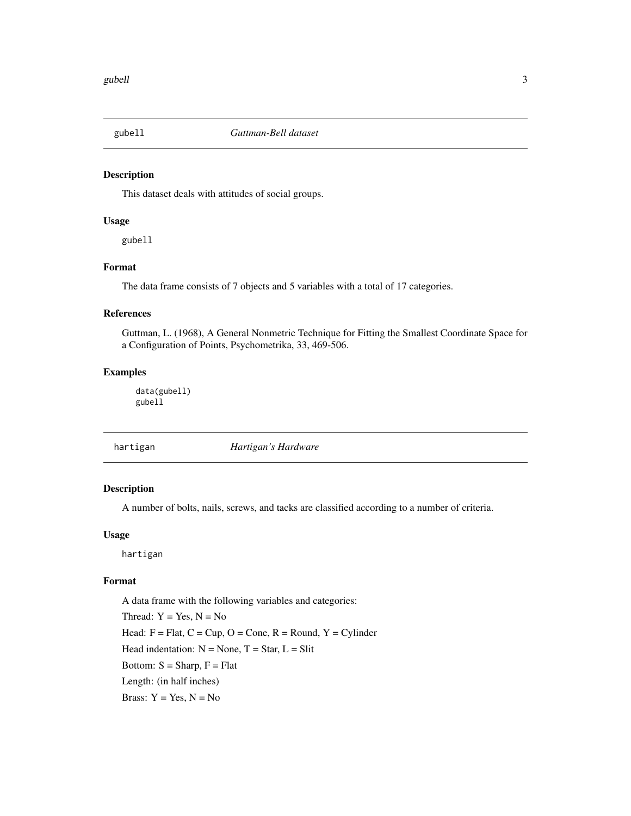<span id="page-2-0"></span>

#### Description

This dataset deals with attitudes of social groups.

#### Usage

gubell

#### Format

The data frame consists of 7 objects and 5 variables with a total of 17 categories.

#### References

Guttman, L. (1968), A General Nonmetric Technique for Fitting the Smallest Coordinate Space for a Configuration of Points, Psychometrika, 33, 469-506.

#### Examples

data(gubell) gubell

| hartigan | Hartigan's Hardware |  |
|----------|---------------------|--|
|----------|---------------------|--|

#### Description

A number of bolts, nails, screws, and tacks are classified according to a number of criteria.

#### Usage

hartigan

#### Format

A data frame with the following variables and categories: Thread:  $Y = Yes, N = No$ Head:  $F = Flat, C = Cup, O = Cone, R = Round, Y = Cylinder$ Head indentation:  $N = None$ ,  $T = Star$ ,  $L = Slit$ Bottom:  $S =$ Sharp,  $F =$ Flat Length: (in half inches) Brass:  $Y = Yes, N = No$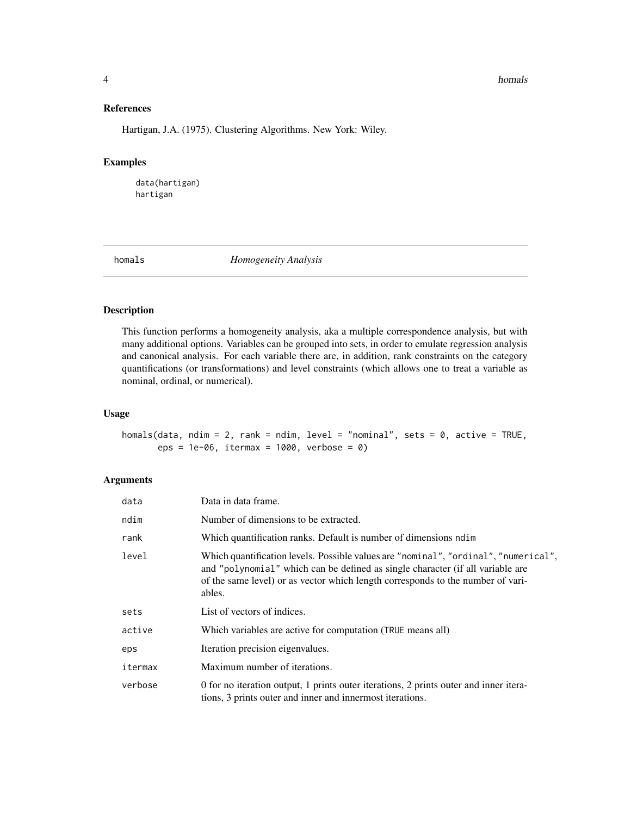#### **4 homals**

#### References

Hartigan, J.A. (1975). Clustering Algorithms. New York: Wiley.

#### Examples

data(hartigan) hartigan

<span id="page-3-1"></span>

homals *Homogeneity Analysis*

#### Description

This function performs a homogeneity analysis, aka a multiple correspondence analysis, but with many additional options. Variables can be grouped into sets, in order to emulate regression analysis and canonical analysis. For each variable there are, in addition, rank constraints on the category quantifications (or transformations) and level constraints (which allows one to treat a variable as nominal, ordinal, or numerical).

#### Usage

homals(data, ndim = 2, rank = ndim, level = "nominal", sets = 0, active = TRUE, eps = 1e-06, itermax = 1000, verbose = 0)

#### Arguments

| data    | Data in data frame.                                                                                                                                                                                                                                                |  |
|---------|--------------------------------------------------------------------------------------------------------------------------------------------------------------------------------------------------------------------------------------------------------------------|--|
| ndim    | Number of dimensions to be extracted.                                                                                                                                                                                                                              |  |
| rank    | Which quantification ranks. Default is number of dimensions ndim                                                                                                                                                                                                   |  |
| level   | Which quantification levels. Possible values are "nominal", "ordinal", "numerical",<br>and "polynomial" which can be defined as single character (if all variable are<br>of the same level) or as vector which length corresponds to the number of vari-<br>ables. |  |
| sets    | List of vectors of indices.                                                                                                                                                                                                                                        |  |
| active  | Which variables are active for computation (TRUE means all)                                                                                                                                                                                                        |  |
| eps     | Iteration precision eigenvalues.                                                                                                                                                                                                                                   |  |
| itermax | Maximum number of iterations.                                                                                                                                                                                                                                      |  |
| verbose | 0 for no iteration output, 1 prints outer iterations, 2 prints outer and inner itera-<br>tions, 3 prints outer and inner and innermost iterations.                                                                                                                 |  |

<span id="page-3-0"></span>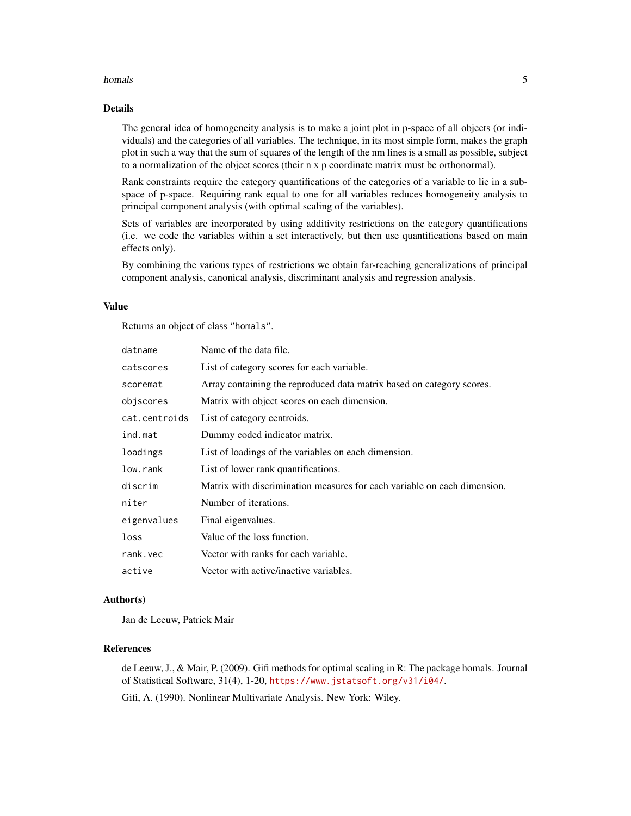#### homals 5

#### Details

The general idea of homogeneity analysis is to make a joint plot in p-space of all objects (or individuals) and the categories of all variables. The technique, in its most simple form, makes the graph plot in such a way that the sum of squares of the length of the nm lines is a small as possible, subject to a normalization of the object scores (their n x p coordinate matrix must be orthonormal).

Rank constraints require the category quantifications of the categories of a variable to lie in a subspace of p-space. Requiring rank equal to one for all variables reduces homogeneity analysis to principal component analysis (with optimal scaling of the variables).

Sets of variables are incorporated by using additivity restrictions on the category quantifications (i.e. we code the variables within a set interactively, but then use quantifications based on main effects only).

By combining the various types of restrictions we obtain far-reaching generalizations of principal component analysis, canonical analysis, discriminant analysis and regression analysis.

#### Value

Returns an object of class "homals".

| datname       | Name of the data file.                                                   |
|---------------|--------------------------------------------------------------------------|
| catscores     | List of category scores for each variable.                               |
| scoremat      | Array containing the reproduced data matrix based on category scores.    |
| objscores     | Matrix with object scores on each dimension.                             |
| cat.centroids | List of category centroids.                                              |
| ind.mat       | Dummy coded indicator matrix.                                            |
| loadings      | List of loadings of the variables on each dimension.                     |
| low.rank      | List of lower rank quantifications.                                      |
| discrim       | Matrix with discrimination measures for each variable on each dimension. |
| niter         | Number of iterations.                                                    |
| eigenvalues   | Final eigenvalues.                                                       |
| loss          | Value of the loss function.                                              |
| rank.vec      | Vector with ranks for each variable.                                     |
| active        | Vector with active/inactive variables.                                   |

#### Author(s)

Jan de Leeuw, Patrick Mair

#### References

de Leeuw, J., & Mair, P. (2009). Gifi methods for optimal scaling in R: The package homals. Journal of Statistical Software, 31(4), 1-20, <https://www.jstatsoft.org/v31/i04/>.

Gifi, A. (1990). Nonlinear Multivariate Analysis. New York: Wiley.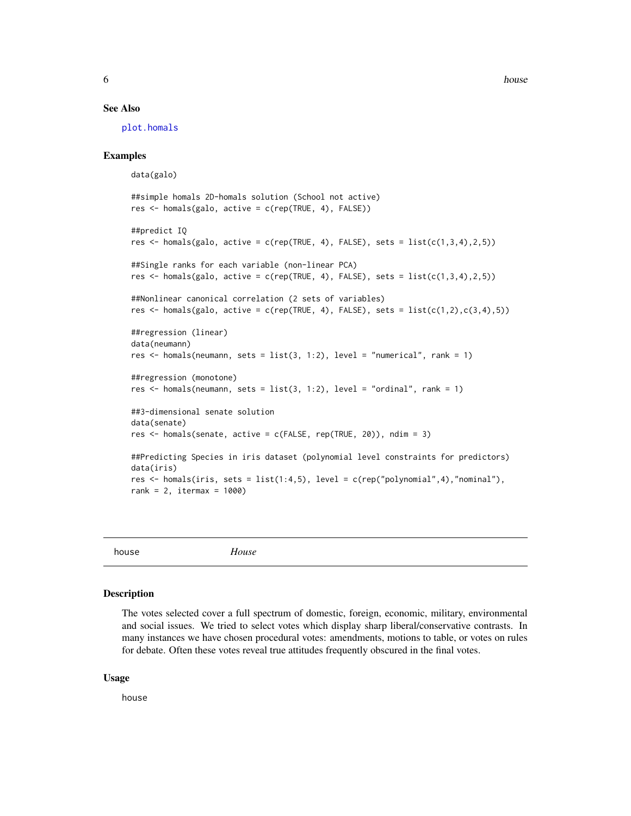<span id="page-5-0"></span> $\sim$  6 house  $\sim$  house  $\sim$  house  $\sim$  house  $\sim$  house  $\sim$ 

#### See Also

[plot.homals](#page-10-1)

#### Examples

data(galo) ##simple homals 2D-homals solution (School not active) res <- homals(galo, active = c(rep(TRUE, 4), FALSE)) ##predict IQ res  $\leq$  homals(galo, active = c(rep(TRUE, 4), FALSE), sets = list(c(1,3,4),2,5)) ##Single ranks for each variable (non-linear PCA) res  $\leq$  homals(galo, active = c(rep(TRUE, 4), FALSE), sets = list(c(1,3,4),2,5)) ##Nonlinear canonical correlation (2 sets of variables) res  $\leq$  homals(galo, active = c(rep(TRUE, 4), FALSE), sets = list(c(1,2),c(3,4),5)) ##regression (linear) data(neumann) res  $\le$  homals(neumann, sets = list(3, 1:2), level = "numerical", rank = 1) ##regression (monotone) res  $\le$  homals(neumann, sets = list(3, 1:2), level = "ordinal", rank = 1) ##3-dimensional senate solution data(senate) res <- homals(senate, active = c(FALSE, rep(TRUE, 20)), ndim = 3) ##Predicting Species in iris dataset (polynomial level constraints for predictors) data(iris) res  $\le$  homals(iris, sets = list(1:4,5), level = c(rep("polynomial",4),"nominal"), rank = 2, itermax =  $1000$ )

house *House*

#### Description

The votes selected cover a full spectrum of domestic, foreign, economic, military, environmental and social issues. We tried to select votes which display sharp liberal/conservative contrasts. In many instances we have chosen procedural votes: amendments, motions to table, or votes on rules for debate. Often these votes reveal true attitudes frequently obscured in the final votes.

#### Usage

house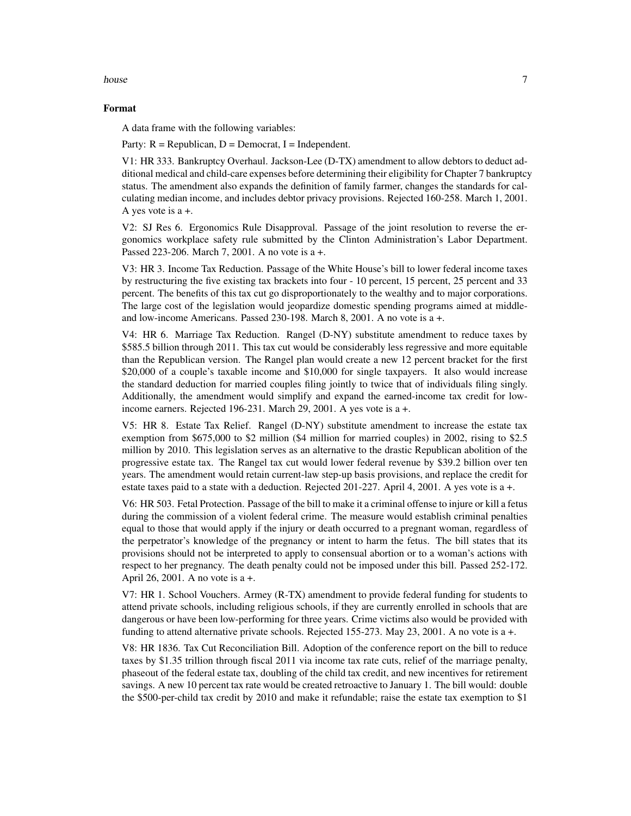#### house 7 and 2012 12:00 the state of the state of the state of the state of the state of the state of the state of the state of the state of the state of the state of the state of the state of the state of the state of the

#### Format

A data frame with the following variables:

Party:  $R = Republican$ ,  $D = Democrat$ ,  $I = Independent$ .

V1: HR 333. Bankruptcy Overhaul. Jackson-Lee (D-TX) amendment to allow debtors to deduct additional medical and child-care expenses before determining their eligibility for Chapter 7 bankruptcy status. The amendment also expands the definition of family farmer, changes the standards for calculating median income, and includes debtor privacy provisions. Rejected 160-258. March 1, 2001. A yes vote is a +.

V2: SJ Res 6. Ergonomics Rule Disapproval. Passage of the joint resolution to reverse the ergonomics workplace safety rule submitted by the Clinton Administration's Labor Department. Passed 223-206. March 7, 2001. A no vote is a +.

V3: HR 3. Income Tax Reduction. Passage of the White House's bill to lower federal income taxes by restructuring the five existing tax brackets into four - 10 percent, 15 percent, 25 percent and 33 percent. The benefits of this tax cut go disproportionately to the wealthy and to major corporations. The large cost of the legislation would jeopardize domestic spending programs aimed at middleand low-income Americans. Passed 230-198. March 8, 2001. A no vote is a +.

V4: HR 6. Marriage Tax Reduction. Rangel (D-NY) substitute amendment to reduce taxes by \$585.5 billion through 2011. This tax cut would be considerably less regressive and more equitable than the Republican version. The Rangel plan would create a new 12 percent bracket for the first \$20,000 of a couple's taxable income and \$10,000 for single taxpayers. It also would increase the standard deduction for married couples filing jointly to twice that of individuals filing singly. Additionally, the amendment would simplify and expand the earned-income tax credit for lowincome earners. Rejected 196-231. March 29, 2001. A yes vote is a +.

V5: HR 8. Estate Tax Relief. Rangel (D-NY) substitute amendment to increase the estate tax exemption from \$675,000 to \$2 million (\$4 million for married couples) in 2002, rising to \$2.5 million by 2010. This legislation serves as an alternative to the drastic Republican abolition of the progressive estate tax. The Rangel tax cut would lower federal revenue by \$39.2 billion over ten years. The amendment would retain current-law step-up basis provisions, and replace the credit for estate taxes paid to a state with a deduction. Rejected 201-227. April 4, 2001. A yes vote is a +.

V6: HR 503. Fetal Protection. Passage of the bill to make it a criminal offense to injure or kill a fetus during the commission of a violent federal crime. The measure would establish criminal penalties equal to those that would apply if the injury or death occurred to a pregnant woman, regardless of the perpetrator's knowledge of the pregnancy or intent to harm the fetus. The bill states that its provisions should not be interpreted to apply to consensual abortion or to a woman's actions with respect to her pregnancy. The death penalty could not be imposed under this bill. Passed 252-172. April 26, 2001. A no vote is a +.

V7: HR 1. School Vouchers. Armey (R-TX) amendment to provide federal funding for students to attend private schools, including religious schools, if they are currently enrolled in schools that are dangerous or have been low-performing for three years. Crime victims also would be provided with funding to attend alternative private schools. Rejected 155-273. May 23, 2001. A no vote is a +.

V8: HR 1836. Tax Cut Reconciliation Bill. Adoption of the conference report on the bill to reduce taxes by \$1.35 trillion through fiscal 2011 via income tax rate cuts, relief of the marriage penalty, phaseout of the federal estate tax, doubling of the child tax credit, and new incentives for retirement savings. A new 10 percent tax rate would be created retroactive to January 1. The bill would: double the \$500-per-child tax credit by 2010 and make it refundable; raise the estate tax exemption to \$1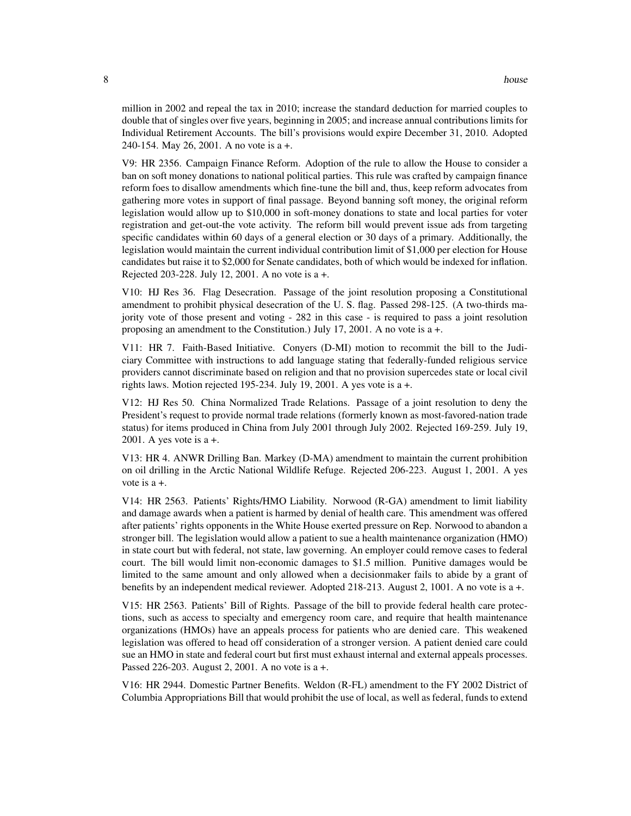million in 2002 and repeal the tax in 2010; increase the standard deduction for married couples to double that of singles over five years, beginning in 2005; and increase annual contributions limits for Individual Retirement Accounts. The bill's provisions would expire December 31, 2010. Adopted 240-154. May 26, 2001. A no vote is a +.

V9: HR 2356. Campaign Finance Reform. Adoption of the rule to allow the House to consider a ban on soft money donations to national political parties. This rule was crafted by campaign finance reform foes to disallow amendments which fine-tune the bill and, thus, keep reform advocates from gathering more votes in support of final passage. Beyond banning soft money, the original reform legislation would allow up to \$10,000 in soft-money donations to state and local parties for voter registration and get-out-the vote activity. The reform bill would prevent issue ads from targeting specific candidates within 60 days of a general election or 30 days of a primary. Additionally, the legislation would maintain the current individual contribution limit of \$1,000 per election for House candidates but raise it to \$2,000 for Senate candidates, both of which would be indexed for inflation. Rejected 203-228. July 12, 2001. A no vote is a +.

V10: HJ Res 36. Flag Desecration. Passage of the joint resolution proposing a Constitutional amendment to prohibit physical desecration of the U. S. flag. Passed 298-125. (A two-thirds majority vote of those present and voting - 282 in this case - is required to pass a joint resolution proposing an amendment to the Constitution.) July 17, 2001. A no vote is a +.

V11: HR 7. Faith-Based Initiative. Conyers (D-MI) motion to recommit the bill to the Judiciary Committee with instructions to add language stating that federally-funded religious service providers cannot discriminate based on religion and that no provision supercedes state or local civil rights laws. Motion rejected 195-234. July 19, 2001. A yes vote is a +.

V12: HJ Res 50. China Normalized Trade Relations. Passage of a joint resolution to deny the President's request to provide normal trade relations (formerly known as most-favored-nation trade status) for items produced in China from July 2001 through July 2002. Rejected 169-259. July 19, 2001. A yes vote is  $a +$ .

V13: HR 4. ANWR Drilling Ban. Markey (D-MA) amendment to maintain the current prohibition on oil drilling in the Arctic National Wildlife Refuge. Rejected 206-223. August 1, 2001. A yes vote is a +.

V14: HR 2563. Patients' Rights/HMO Liability. Norwood (R-GA) amendment to limit liability and damage awards when a patient is harmed by denial of health care. This amendment was offered after patients' rights opponents in the White House exerted pressure on Rep. Norwood to abandon a stronger bill. The legislation would allow a patient to sue a health maintenance organization (HMO) in state court but with federal, not state, law governing. An employer could remove cases to federal court. The bill would limit non-economic damages to \$1.5 million. Punitive damages would be limited to the same amount and only allowed when a decisionmaker fails to abide by a grant of benefits by an independent medical reviewer. Adopted 218-213. August 2, 1001. A no vote is a +.

V15: HR 2563. Patients' Bill of Rights. Passage of the bill to provide federal health care protections, such as access to specialty and emergency room care, and require that health maintenance organizations (HMOs) have an appeals process for patients who are denied care. This weakened legislation was offered to head off consideration of a stronger version. A patient denied care could sue an HMO in state and federal court but first must exhaust internal and external appeals processes. Passed 226-203. August 2, 2001. A no vote is a +.

V16: HR 2944. Domestic Partner Benefits. Weldon (R-FL) amendment to the FY 2002 District of Columbia Appropriations Bill that would prohibit the use of local, as well as federal, funds to extend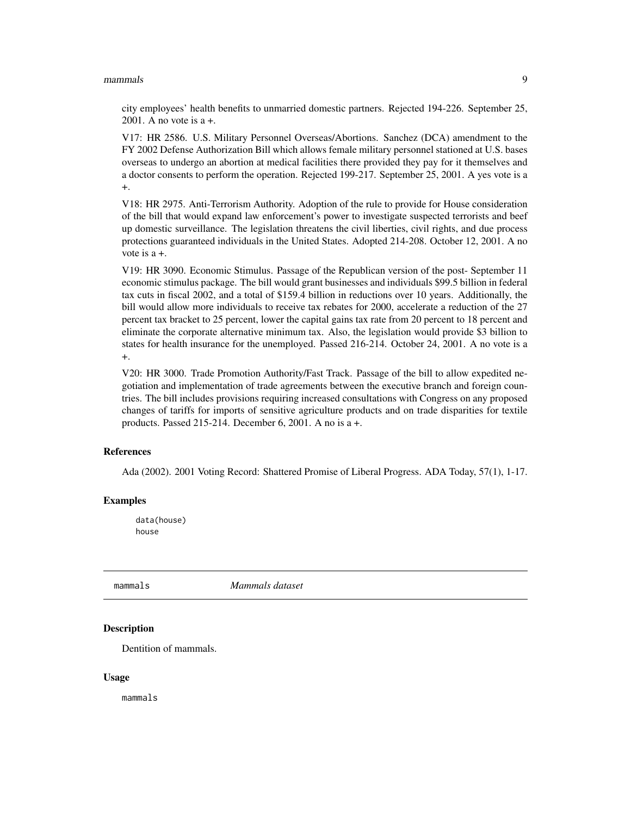#### <span id="page-8-0"></span>mammals **9**

city employees' health benefits to unmarried domestic partners. Rejected 194-226. September 25, 2001. A no vote is a +.

V17: HR 2586. U.S. Military Personnel Overseas/Abortions. Sanchez (DCA) amendment to the FY 2002 Defense Authorization Bill which allows female military personnel stationed at U.S. bases overseas to undergo an abortion at medical facilities there provided they pay for it themselves and a doctor consents to perform the operation. Rejected 199-217. September 25, 2001. A yes vote is a +.

V18: HR 2975. Anti-Terrorism Authority. Adoption of the rule to provide for House consideration of the bill that would expand law enforcement's power to investigate suspected terrorists and beef up domestic surveillance. The legislation threatens the civil liberties, civil rights, and due process protections guaranteed individuals in the United States. Adopted 214-208. October 12, 2001. A no vote is a +.

V19: HR 3090. Economic Stimulus. Passage of the Republican version of the post- September 11 economic stimulus package. The bill would grant businesses and individuals \$99.5 billion in federal tax cuts in fiscal 2002, and a total of \$159.4 billion in reductions over 10 years. Additionally, the bill would allow more individuals to receive tax rebates for 2000, accelerate a reduction of the 27 percent tax bracket to 25 percent, lower the capital gains tax rate from 20 percent to 18 percent and eliminate the corporate alternative minimum tax. Also, the legislation would provide \$3 billion to states for health insurance for the unemployed. Passed 216-214. October 24, 2001. A no vote is a +.

V20: HR 3000. Trade Promotion Authority/Fast Track. Passage of the bill to allow expedited negotiation and implementation of trade agreements between the executive branch and foreign countries. The bill includes provisions requiring increased consultations with Congress on any proposed changes of tariffs for imports of sensitive agriculture products and on trade disparities for textile products. Passed 215-214. December 6, 2001. A no is a +.

#### References

Ada (2002). 2001 Voting Record: Shattered Promise of Liberal Progress. ADA Today, 57(1), 1-17.

#### Examples

data(house) house

mammals *Mammals dataset*

#### Description

Dentition of mammals.

#### Usage

mammals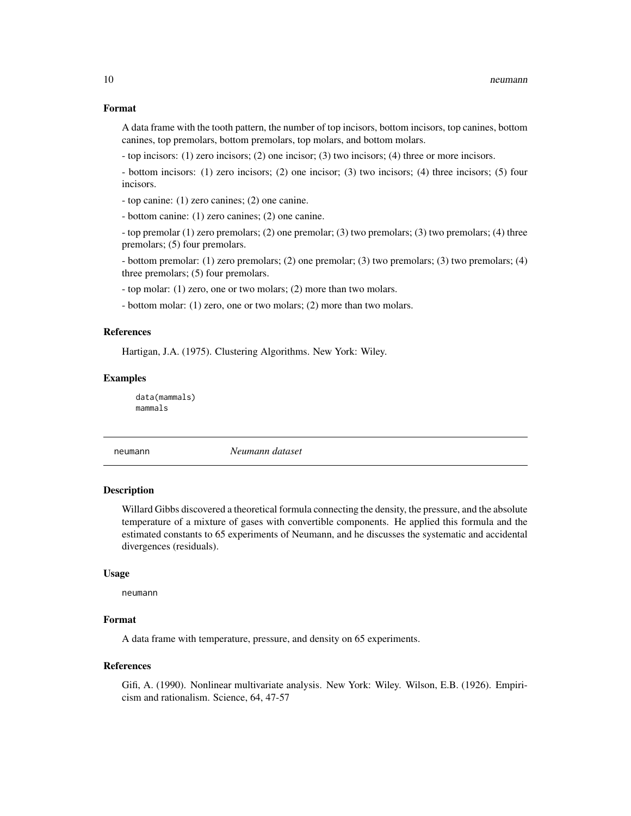#### <span id="page-9-0"></span>Format

A data frame with the tooth pattern, the number of top incisors, bottom incisors, top canines, bottom canines, top premolars, bottom premolars, top molars, and bottom molars.

- top incisors: (1) zero incisors; (2) one incisor; (3) two incisors; (4) three or more incisors.

- bottom incisors: (1) zero incisors; (2) one incisor; (3) two incisors; (4) three incisors; (5) four incisors.

- top canine: (1) zero canines; (2) one canine.

- bottom canine: (1) zero canines; (2) one canine.

- top premolar (1) zero premolars; (2) one premolar; (3) two premolars; (3) two premolars; (4) three premolars; (5) four premolars.

- bottom premolar: (1) zero premolars; (2) one premolar; (3) two premolars; (3) two premolars; (4) three premolars; (5) four premolars.

- top molar: (1) zero, one or two molars; (2) more than two molars.

- bottom molar: (1) zero, one or two molars; (2) more than two molars.

#### References

Hartigan, J.A. (1975). Clustering Algorithms. New York: Wiley.

#### Examples

data(mammals) mammals

neumann *Neumann dataset*

#### Description

Willard Gibbs discovered a theoretical formula connecting the density, the pressure, and the absolute temperature of a mixture of gases with convertible components. He applied this formula and the estimated constants to 65 experiments of Neumann, and he discusses the systematic and accidental divergences (residuals).

#### Usage

neumann

#### Format

A data frame with temperature, pressure, and density on 65 experiments.

#### References

Gifi, A. (1990). Nonlinear multivariate analysis. New York: Wiley. Wilson, E.B. (1926). Empiricism and rationalism. Science, 64, 47-57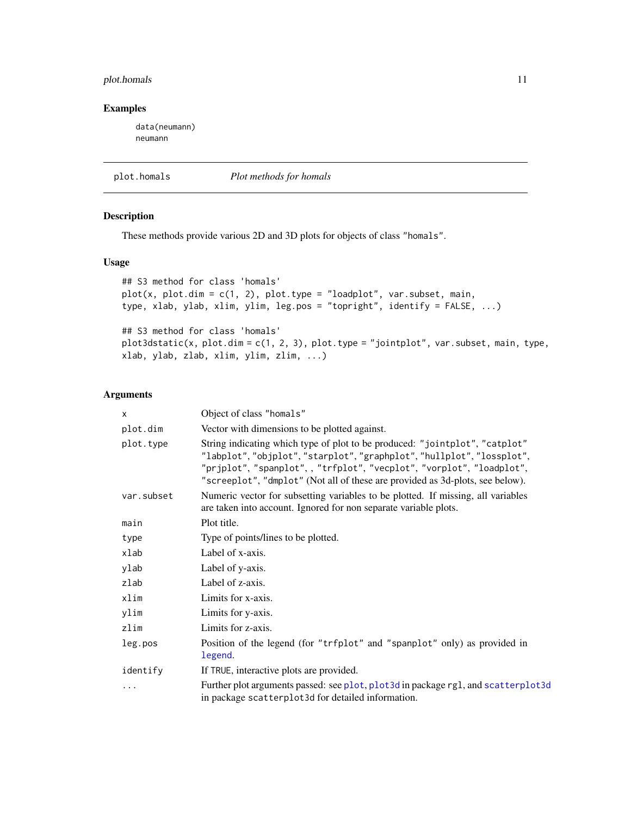#### <span id="page-10-0"></span>plot.homals 11

#### Examples

data(neumann) neumann

<span id="page-10-1"></span>plot.homals *Plot methods for homals*

#### Description

These methods provide various 2D and 3D plots for objects of class "homals".

#### Usage

```
## S3 method for class 'homals'
plot(x, plot.dim = c(1, 2), plot-type = "loadplot", var.subset, main,type, xlab, ylab, xlim, ylim, leg.pos = "topright", identify = FALSE, ...)
## S3 method for class 'homals'
plot3dstatic(x, plot.dim = c(1, 2, 3), plot.type = "jointplot", var.subset, main, type,
xlab, ylab, zlab, xlim, ylim, zlim, ...)
```
#### Arguments

| X          | Object of class "homals"                                                                                                                                                                                                                                                                                        |
|------------|-----------------------------------------------------------------------------------------------------------------------------------------------------------------------------------------------------------------------------------------------------------------------------------------------------------------|
| plot.dim   | Vector with dimensions to be plotted against.                                                                                                                                                                                                                                                                   |
| plot.type  | String indicating which type of plot to be produced: "jointplot", "catplot"<br>"labplot", "objplot", "starplot", "graphplot", "hullplot", "lossplot",<br>"prjplot", "spanplot", , "trfplot", "vecplot", "vorplot", "loadplot",<br>"screeplot", "dmplot" (Not all of these are provided as 3d-plots, see below). |
| var.subset | Numeric vector for subsetting variables to be plotted. If missing, all variables<br>are taken into account. Ignored for non separate variable plots.                                                                                                                                                            |
| main       | Plot title.                                                                                                                                                                                                                                                                                                     |
| type       | Type of points/lines to be plotted.                                                                                                                                                                                                                                                                             |
| xlab       | Label of x-axis.                                                                                                                                                                                                                                                                                                |
| ylab       | Label of y-axis.                                                                                                                                                                                                                                                                                                |
| zlab       | Label of z-axis.                                                                                                                                                                                                                                                                                                |
| xlim       | Limits for x-axis.                                                                                                                                                                                                                                                                                              |
| ylim       | Limits for y-axis.                                                                                                                                                                                                                                                                                              |
| zlim       | Limits for z-axis.                                                                                                                                                                                                                                                                                              |
| leg.pos    | Position of the legend (for "trfplot" and "spanplot" only) as provided in<br>legend.                                                                                                                                                                                                                            |
| identify   | If TRUE, interactive plots are provided.                                                                                                                                                                                                                                                                        |
| .          | Further plot arguments passed: see plot, plot 3d in package rg1, and scatter plot 3d<br>in package scatterplot3d for detailed information.                                                                                                                                                                      |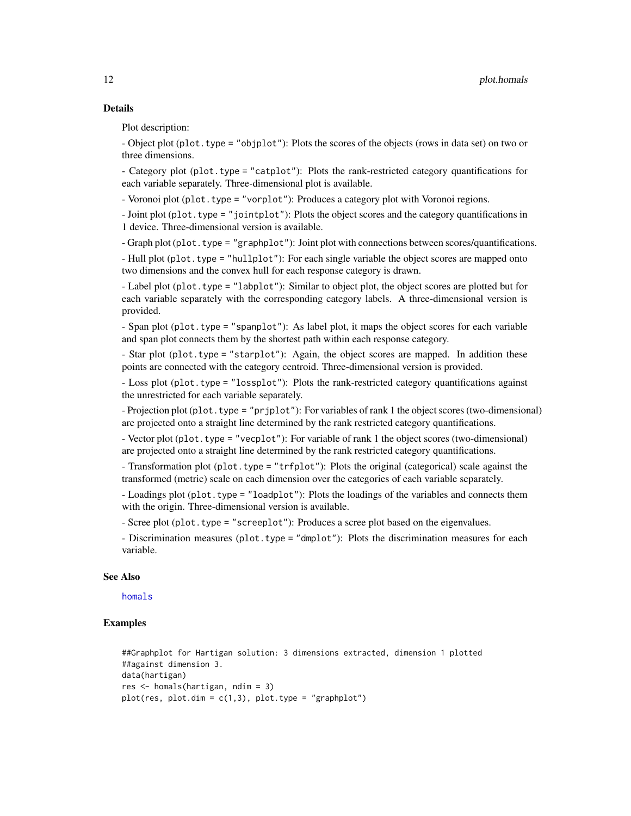#### <span id="page-11-0"></span>Details

Plot description:

- Object plot (plot.type = "objplot"): Plots the scores of the objects (rows in data set) on two or three dimensions.

- Category plot (plot.type = "catplot"): Plots the rank-restricted category quantifications for each variable separately. Three-dimensional plot is available.

- Voronoi plot (plot.type = "vorplot"): Produces a category plot with Voronoi regions.

- Joint plot (plot.type = "jointplot"): Plots the object scores and the category quantifications in 1 device. Three-dimensional version is available.

- Graph plot (plot.type = "graphplot"): Joint plot with connections between scores/quantifications.

- Hull plot (plot.type = "hullplot"): For each single variable the object scores are mapped onto two dimensions and the convex hull for each response category is drawn.

- Label plot (plot.type = "labplot"): Similar to object plot, the object scores are plotted but for each variable separately with the corresponding category labels. A three-dimensional version is provided.

- Span plot (plot.type = "spanplot"): As label plot, it maps the object scores for each variable and span plot connects them by the shortest path within each response category.

- Star plot (plot.type = "starplot"): Again, the object scores are mapped. In addition these points are connected with the category centroid. Three-dimensional version is provided.

- Loss plot (plot.type = "lossplot"): Plots the rank-restricted category quantifications against the unrestricted for each variable separately.

- Projection plot (plot.type = "prjplot"): For variables of rank 1 the object scores (two-dimensional) are projected onto a straight line determined by the rank restricted category quantifications.

- Vector plot (plot.type = "vecplot"): For variable of rank 1 the object scores (two-dimensional) are projected onto a straight line determined by the rank restricted category quantifications.

- Transformation plot (plot.type = "trfplot"): Plots the original (categorical) scale against the transformed (metric) scale on each dimension over the categories of each variable separately.

- Loadings plot (plot.type = "loadplot"): Plots the loadings of the variables and connects them with the origin. Three-dimensional version is available.

- Scree plot (plot.type = "screeplot"): Produces a scree plot based on the eigenvalues.

- Discrimination measures (plot.type = "dmplot"): Plots the discrimination measures for each variable.

#### See Also

[homals](#page-3-1)

#### Examples

```
##Graphplot for Hartigan solution: 3 dimensions extracted, dimension 1 plotted
##against dimension 3.
data(hartigan)
res <- homals(hartigan, ndim = 3)
plot(res, plot.dim = c(1,3), plot-type = "graphplot")
```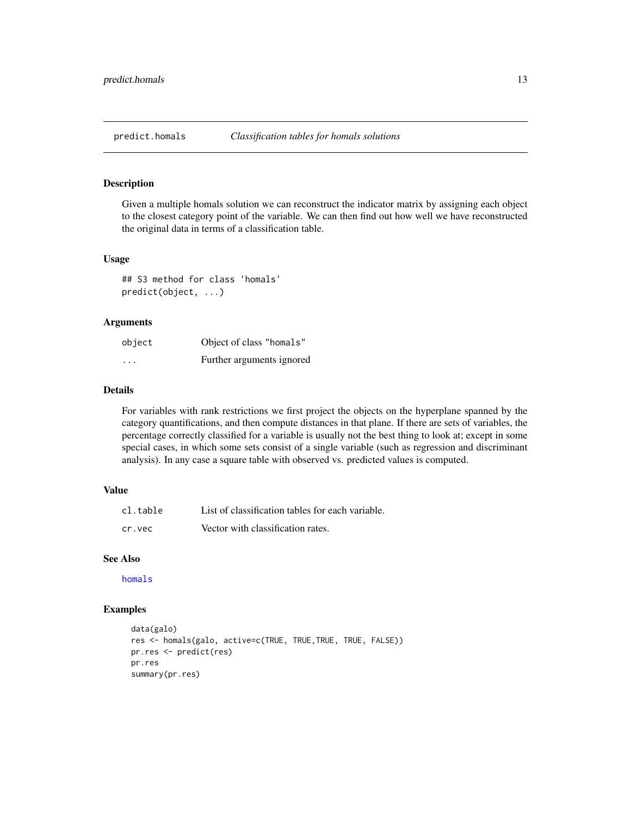#### <span id="page-12-0"></span>Description

Given a multiple homals solution we can reconstruct the indicator matrix by assigning each object to the closest category point of the variable. We can then find out how well we have reconstructed the original data in terms of a classification table.

#### Usage

## S3 method for class 'homals' predict(object, ...)

#### Arguments

| object  | Object of class "homals"  |
|---------|---------------------------|
| $\cdot$ | Further arguments ignored |

#### Details

For variables with rank restrictions we first project the objects on the hyperplane spanned by the category quantifications, and then compute distances in that plane. If there are sets of variables, the percentage correctly classified for a variable is usually not the best thing to look at; except in some special cases, in which some sets consist of a single variable (such as regression and discriminant analysis). In any case a square table with observed vs. predicted values is computed.

#### Value

| cl.table | List of classification tables for each variable. |
|----------|--------------------------------------------------|
| cr.vec   | Vector with classification rates.                |

#### See Also

[homals](#page-3-1)

#### Examples

```
data(galo)
res <- homals(galo, active=c(TRUE, TRUE,TRUE, TRUE, FALSE))
pr.res <- predict(res)
pr.res
summary(pr.res)
```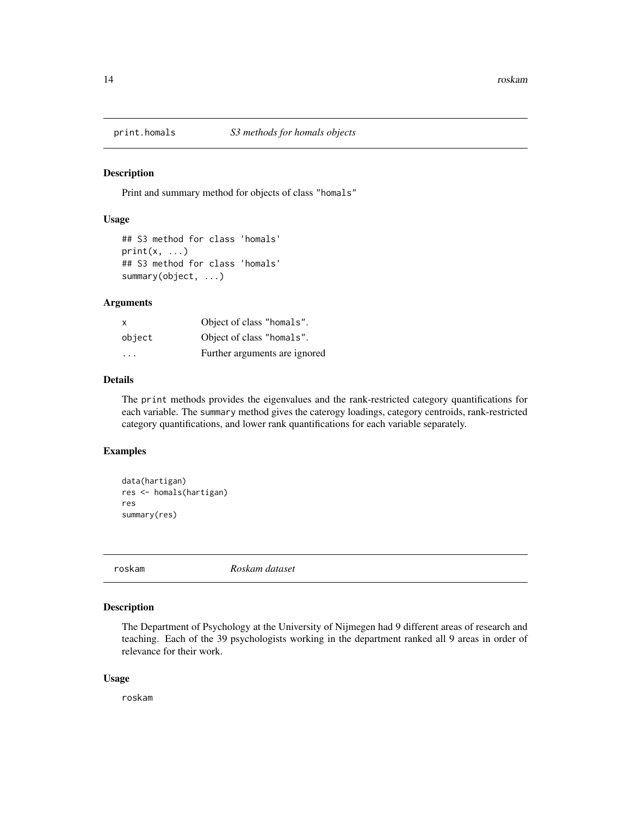<span id="page-13-0"></span>

#### Description

Print and summary method for objects of class "homals"

#### Usage

```
## S3 method for class 'homals'
print(x, \ldots)## S3 method for class 'homals'
summary(object, ...)
```
#### Arguments

| X                       | Object of class "homals".     |
|-------------------------|-------------------------------|
| object                  | Object of class "homals".     |
| $\cdot$ $\cdot$ $\cdot$ | Further arguments are ignored |

#### Details

The print methods provides the eigenvalues and the rank-restricted category quantifications for each variable. The summary method gives the caterogy loadings, category centroids, rank-restricted category quantifications, and lower rank quantifications for each variable separately.

#### Examples

```
data(hartigan)
res <- homals(hartigan)
res
summary(res)
```
roskam *Roskam dataset*

#### Description

The Department of Psychology at the University of Nijmegen had 9 different areas of research and teaching. Each of the 39 psychologists working in the department ranked all 9 areas in order of relevance for their work.

#### Usage

roskam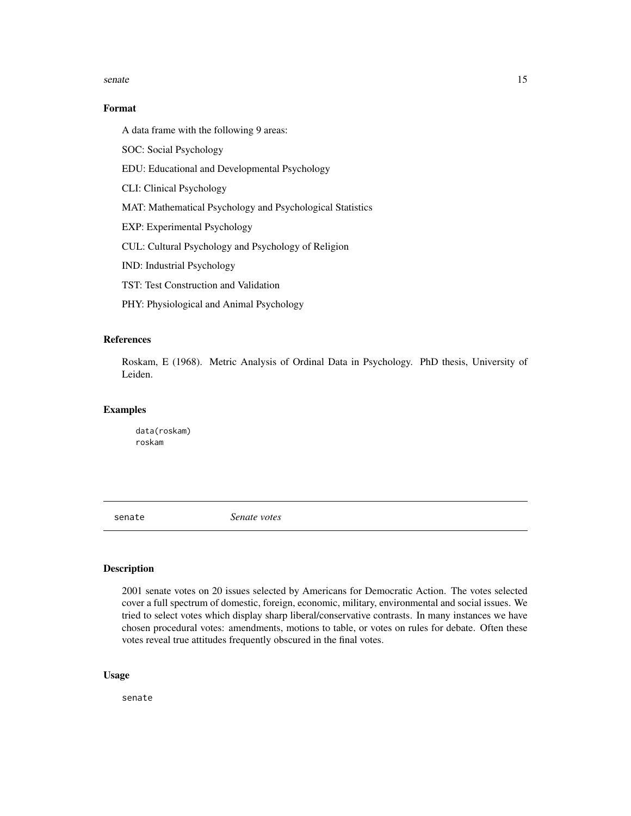#### <span id="page-14-0"></span>senate the senate of the senate of the senate of the senate of the senate of the senate of the senate of the senate of the senate of the senate of the senate of the senate of the senate of the senate of the senate of the s

#### Format

A data frame with the following 9 areas:

SOC: Social Psychology

EDU: Educational and Developmental Psychology

CLI: Clinical Psychology

MAT: Mathematical Psychology and Psychological Statistics

EXP: Experimental Psychology

CUL: Cultural Psychology and Psychology of Religion

IND: Industrial Psychology

TST: Test Construction and Validation

PHY: Physiological and Animal Psychology

#### References

Roskam, E (1968). Metric Analysis of Ordinal Data in Psychology. PhD thesis, University of Leiden.

#### Examples

data(roskam) roskam

senate *Senate votes*

#### Description

2001 senate votes on 20 issues selected by Americans for Democratic Action. The votes selected cover a full spectrum of domestic, foreign, economic, military, environmental and social issues. We tried to select votes which display sharp liberal/conservative contrasts. In many instances we have chosen procedural votes: amendments, motions to table, or votes on rules for debate. Often these votes reveal true attitudes frequently obscured in the final votes.

#### Usage

senate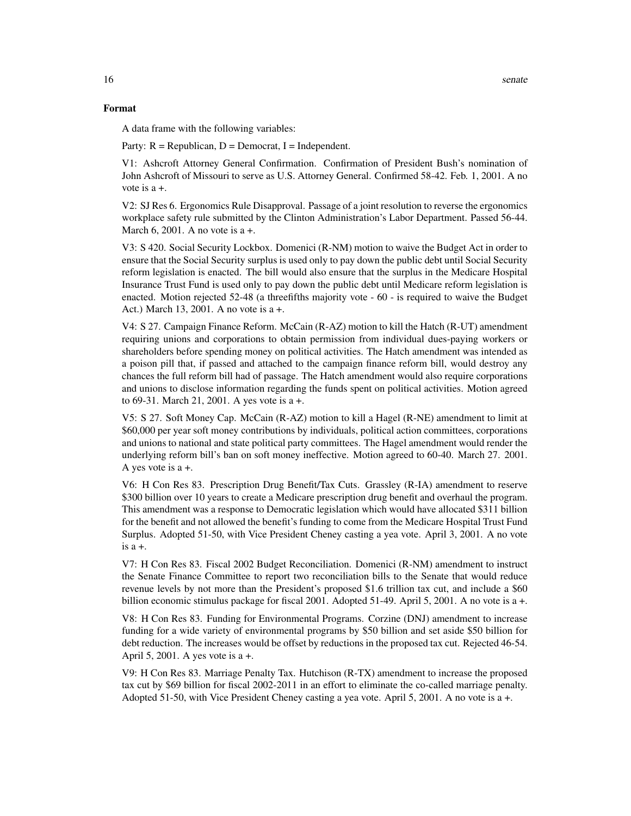#### Format

A data frame with the following variables:

Party:  $R = Republican$ ,  $D = Democrat$ ,  $I = Independent$ .

V1: Ashcroft Attorney General Confirmation. Confirmation of President Bush's nomination of John Ashcroft of Missouri to serve as U.S. Attorney General. Confirmed 58-42. Feb. 1, 2001. A no vote is a +.

V2: SJ Res 6. Ergonomics Rule Disapproval. Passage of a joint resolution to reverse the ergonomics workplace safety rule submitted by the Clinton Administration's Labor Department. Passed 56-44. March 6, 2001. A no vote is  $a +$ .

V3: S 420. Social Security Lockbox. Domenici (R-NM) motion to waive the Budget Act in order to ensure that the Social Security surplus is used only to pay down the public debt until Social Security reform legislation is enacted. The bill would also ensure that the surplus in the Medicare Hospital Insurance Trust Fund is used only to pay down the public debt until Medicare reform legislation is enacted. Motion rejected 52-48 (a threefifths majority vote - 60 - is required to waive the Budget Act.) March 13, 2001. A no vote is a +.

V4: S 27. Campaign Finance Reform. McCain (R-AZ) motion to kill the Hatch (R-UT) amendment requiring unions and corporations to obtain permission from individual dues-paying workers or shareholders before spending money on political activities. The Hatch amendment was intended as a poison pill that, if passed and attached to the campaign finance reform bill, would destroy any chances the full reform bill had of passage. The Hatch amendment would also require corporations and unions to disclose information regarding the funds spent on political activities. Motion agreed to 69-31. March 21, 2001. A yes vote is a +.

V5: S 27. Soft Money Cap. McCain (R-AZ) motion to kill a Hagel (R-NE) amendment to limit at \$60,000 per year soft money contributions by individuals, political action committees, corporations and unions to national and state political party committees. The Hagel amendment would render the underlying reform bill's ban on soft money ineffective. Motion agreed to 60-40. March 27. 2001. A yes vote is a +.

V6: H Con Res 83. Prescription Drug Benefit/Tax Cuts. Grassley (R-IA) amendment to reserve \$300 billion over 10 years to create a Medicare prescription drug benefit and overhaul the program. This amendment was a response to Democratic legislation which would have allocated \$311 billion for the benefit and not allowed the benefit's funding to come from the Medicare Hospital Trust Fund Surplus. Adopted 51-50, with Vice President Cheney casting a yea vote. April 3, 2001. A no vote is a +.

V7: H Con Res 83. Fiscal 2002 Budget Reconciliation. Domenici (R-NM) amendment to instruct the Senate Finance Committee to report two reconciliation bills to the Senate that would reduce revenue levels by not more than the President's proposed \$1.6 trillion tax cut, and include a \$60 billion economic stimulus package for fiscal 2001. Adopted 51-49. April 5, 2001. A no vote is a +.

V8: H Con Res 83. Funding for Environmental Programs. Corzine (DNJ) amendment to increase funding for a wide variety of environmental programs by \$50 billion and set aside \$50 billion for debt reduction. The increases would be offset by reductions in the proposed tax cut. Rejected 46-54. April 5, 2001. A yes vote is a +.

V9: H Con Res 83. Marriage Penalty Tax. Hutchison (R-TX) amendment to increase the proposed tax cut by \$69 billion for fiscal 2002-2011 in an effort to eliminate the co-called marriage penalty. Adopted 51-50, with Vice President Cheney casting a yea vote. April 5, 2001. A no vote is a +.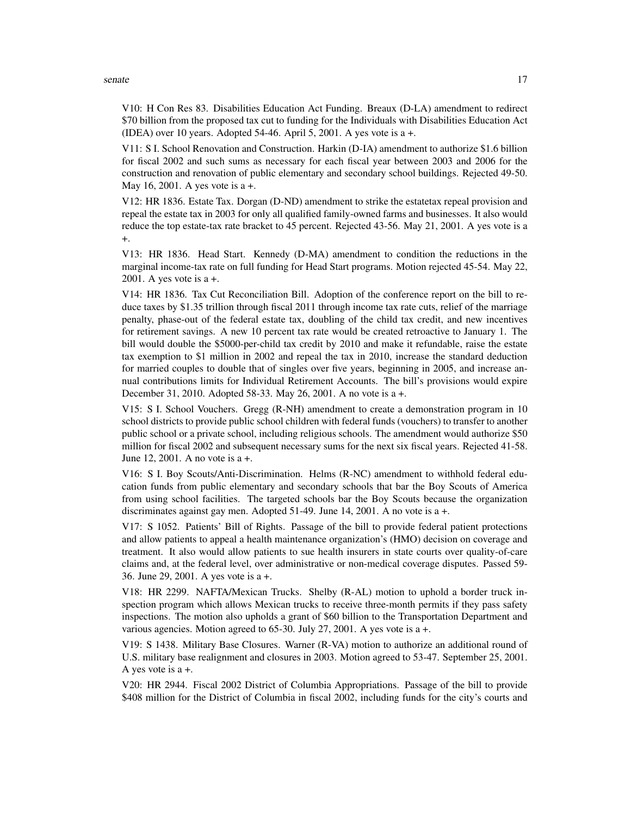#### senate the contract of the contract of the contract of the contract of the contract of the contract of the contract of the contract of the contract of the contract of the contract of the contract of the contract of the con

V10: H Con Res 83. Disabilities Education Act Funding. Breaux (D-LA) amendment to redirect \$70 billion from the proposed tax cut to funding for the Individuals with Disabilities Education Act (IDEA) over 10 years. Adopted 54-46. April 5, 2001. A yes vote is  $a +$ .

V11: S I. School Renovation and Construction. Harkin (D-IA) amendment to authorize \$1.6 billion for fiscal 2002 and such sums as necessary for each fiscal year between 2003 and 2006 for the construction and renovation of public elementary and secondary school buildings. Rejected 49-50. May 16, 2001. A yes vote is a +.

V12: HR 1836. Estate Tax. Dorgan (D-ND) amendment to strike the estatetax repeal provision and repeal the estate tax in 2003 for only all qualified family-owned farms and businesses. It also would reduce the top estate-tax rate bracket to 45 percent. Rejected 43-56. May 21, 2001. A yes vote is a +.

V13: HR 1836. Head Start. Kennedy (D-MA) amendment to condition the reductions in the marginal income-tax rate on full funding for Head Start programs. Motion rejected 45-54. May 22, 2001. A yes vote is  $a +$ .

V14: HR 1836. Tax Cut Reconciliation Bill. Adoption of the conference report on the bill to reduce taxes by \$1.35 trillion through fiscal 2011 through income tax rate cuts, relief of the marriage penalty, phase-out of the federal estate tax, doubling of the child tax credit, and new incentives for retirement savings. A new 10 percent tax rate would be created retroactive to January 1. The bill would double the \$5000-per-child tax credit by 2010 and make it refundable, raise the estate tax exemption to \$1 million in 2002 and repeal the tax in 2010, increase the standard deduction for married couples to double that of singles over five years, beginning in 2005, and increase annual contributions limits for Individual Retirement Accounts. The bill's provisions would expire December 31, 2010. Adopted 58-33. May 26, 2001. A no vote is a +.

V15: S I. School Vouchers. Gregg (R-NH) amendment to create a demonstration program in 10 school districts to provide public school children with federal funds (vouchers) to transfer to another public school or a private school, including religious schools. The amendment would authorize \$50 million for fiscal 2002 and subsequent necessary sums for the next six fiscal years. Rejected 41-58. June 12, 2001. A no vote is a +.

V16: S I. Boy Scouts/Anti-Discrimination. Helms (R-NC) amendment to withhold federal education funds from public elementary and secondary schools that bar the Boy Scouts of America from using school facilities. The targeted schools bar the Boy Scouts because the organization discriminates against gay men. Adopted 51-49. June 14, 2001. A no vote is a +.

V17: S 1052. Patients' Bill of Rights. Passage of the bill to provide federal patient protections and allow patients to appeal a health maintenance organization's (HMO) decision on coverage and treatment. It also would allow patients to sue health insurers in state courts over quality-of-care claims and, at the federal level, over administrative or non-medical coverage disputes. Passed 59- 36. June 29, 2001. A yes vote is a +.

V18: HR 2299. NAFTA/Mexican Trucks. Shelby (R-AL) motion to uphold a border truck inspection program which allows Mexican trucks to receive three-month permits if they pass safety inspections. The motion also upholds a grant of \$60 billion to the Transportation Department and various agencies. Motion agreed to 65-30. July 27, 2001. A yes vote is a +.

V19: S 1438. Military Base Closures. Warner (R-VA) motion to authorize an additional round of U.S. military base realignment and closures in 2003. Motion agreed to 53-47. September 25, 2001. A yes vote is a +.

V20: HR 2944. Fiscal 2002 District of Columbia Appropriations. Passage of the bill to provide \$408 million for the District of Columbia in fiscal 2002, including funds for the city's courts and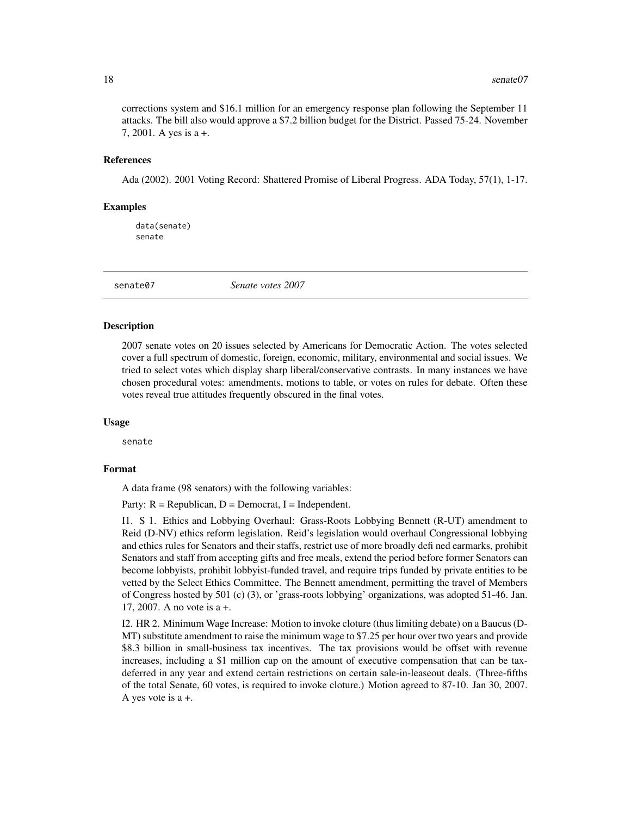corrections system and \$16.1 million for an emergency response plan following the September 11 attacks. The bill also would approve a \$7.2 billion budget for the District. Passed 75-24. November 7, 2001. A yes is a +.

#### References

Ada (2002). 2001 Voting Record: Shattered Promise of Liberal Progress. ADA Today, 57(1), 1-17.

#### Examples

data(senate) senate

senate07 *Senate votes 2007*

#### Description

2007 senate votes on 20 issues selected by Americans for Democratic Action. The votes selected cover a full spectrum of domestic, foreign, economic, military, environmental and social issues. We tried to select votes which display sharp liberal/conservative contrasts. In many instances we have chosen procedural votes: amendments, motions to table, or votes on rules for debate. Often these votes reveal true attitudes frequently obscured in the final votes.

#### Usage

senate

#### Format

A data frame (98 senators) with the following variables:

Party:  $R = Republican$ ,  $D = Democrat$ ,  $I = Independent$ .

I1. S 1. Ethics and Lobbying Overhaul: Grass-Roots Lobbying Bennett (R-UT) amendment to Reid (D-NV) ethics reform legislation. Reid's legislation would overhaul Congressional lobbying and ethics rules for Senators and their staffs, restrict use of more broadly defi ned earmarks, prohibit Senators and staff from accepting gifts and free meals, extend the period before former Senators can become lobbyists, prohibit lobbyist-funded travel, and require trips funded by private entities to be vetted by the Select Ethics Committee. The Bennett amendment, permitting the travel of Members of Congress hosted by 501 (c) (3), or 'grass-roots lobbying' organizations, was adopted 51-46. Jan. 17, 2007. A no vote is a +.

I2. HR 2. Minimum Wage Increase: Motion to invoke cloture (thus limiting debate) on a Baucus (D-MT) substitute amendment to raise the minimum wage to \$7.25 per hour over two years and provide \$8.3 billion in small-business tax incentives. The tax provisions would be offset with revenue increases, including a \$1 million cap on the amount of executive compensation that can be taxdeferred in any year and extend certain restrictions on certain sale-in-leaseout deals. (Three-fifths of the total Senate, 60 votes, is required to invoke cloture.) Motion agreed to 87-10. Jan 30, 2007. A yes vote is a +.

<span id="page-17-0"></span>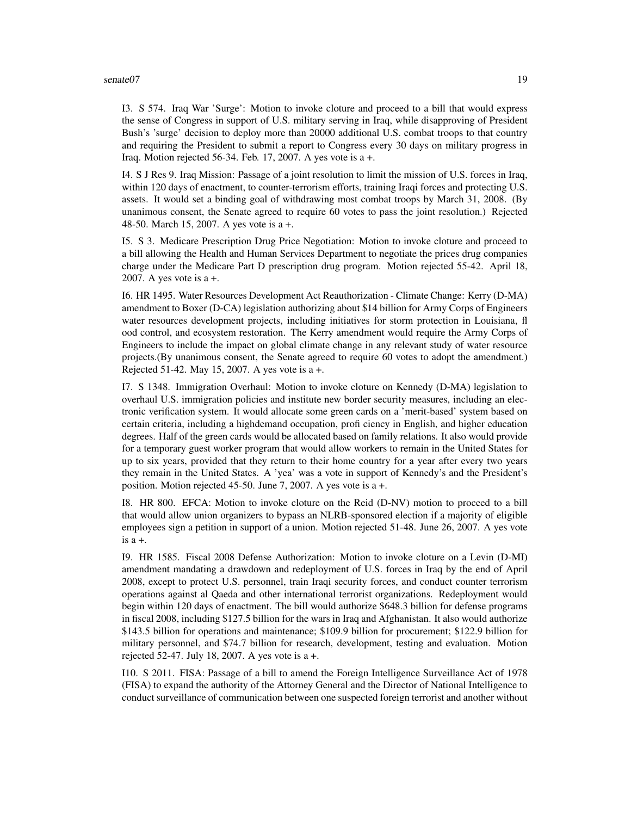#### senate07 19

I3. S 574. Iraq War 'Surge': Motion to invoke cloture and proceed to a bill that would express the sense of Congress in support of U.S. military serving in Iraq, while disapproving of President Bush's 'surge' decision to deploy more than 20000 additional U.S. combat troops to that country and requiring the President to submit a report to Congress every 30 days on military progress in Iraq. Motion rejected 56-34. Feb. 17, 2007. A yes vote is a +.

I4. S J Res 9. Iraq Mission: Passage of a joint resolution to limit the mission of U.S. forces in Iraq, within 120 days of enactment, to counter-terrorism efforts, training Iraqi forces and protecting U.S. assets. It would set a binding goal of withdrawing most combat troops by March 31, 2008. (By unanimous consent, the Senate agreed to require 60 votes to pass the joint resolution.) Rejected 48-50. March 15, 2007. A yes vote is a +.

I5. S 3. Medicare Prescription Drug Price Negotiation: Motion to invoke cloture and proceed to a bill allowing the Health and Human Services Department to negotiate the prices drug companies charge under the Medicare Part D prescription drug program. Motion rejected 55-42. April 18, 2007. A yes vote is a +.

I6. HR 1495. Water Resources Development Act Reauthorization - Climate Change: Kerry (D-MA) amendment to Boxer (D-CA) legislation authorizing about \$14 billion for Army Corps of Engineers water resources development projects, including initiatives for storm protection in Louisiana, fl ood control, and ecosystem restoration. The Kerry amendment would require the Army Corps of Engineers to include the impact on global climate change in any relevant study of water resource projects.(By unanimous consent, the Senate agreed to require 60 votes to adopt the amendment.) Rejected 51-42. May 15, 2007. A yes vote is a +.

I7. S 1348. Immigration Overhaul: Motion to invoke cloture on Kennedy (D-MA) legislation to overhaul U.S. immigration policies and institute new border security measures, including an electronic verification system. It would allocate some green cards on a 'merit-based' system based on certain criteria, including a highdemand occupation, profi ciency in English, and higher education degrees. Half of the green cards would be allocated based on family relations. It also would provide for a temporary guest worker program that would allow workers to remain in the United States for up to six years, provided that they return to their home country for a year after every two years they remain in the United States. A 'yea' was a vote in support of Kennedy's and the President's position. Motion rejected 45-50. June 7, 2007. A yes vote is a +.

I8. HR 800. EFCA: Motion to invoke cloture on the Reid (D-NV) motion to proceed to a bill that would allow union organizers to bypass an NLRB-sponsored election if a majority of eligible employees sign a petition in support of a union. Motion rejected 51-48. June 26, 2007. A yes vote is  $a +$ .

I9. HR 1585. Fiscal 2008 Defense Authorization: Motion to invoke cloture on a Levin (D-MI) amendment mandating a drawdown and redeployment of U.S. forces in Iraq by the end of April 2008, except to protect U.S. personnel, train Iraqi security forces, and conduct counter terrorism operations against al Qaeda and other international terrorist organizations. Redeployment would begin within 120 days of enactment. The bill would authorize \$648.3 billion for defense programs in fiscal 2008, including \$127.5 billion for the wars in Iraq and Afghanistan. It also would authorize \$143.5 billion for operations and maintenance; \$109.9 billion for procurement; \$122.9 billion for military personnel, and \$74.7 billion for research, development, testing and evaluation. Motion rejected 52-47. July 18, 2007. A yes vote is  $a +$ .

I10. S 2011. FISA: Passage of a bill to amend the Foreign Intelligence Surveillance Act of 1978 (FISA) to expand the authority of the Attorney General and the Director of National Intelligence to conduct surveillance of communication between one suspected foreign terrorist and another without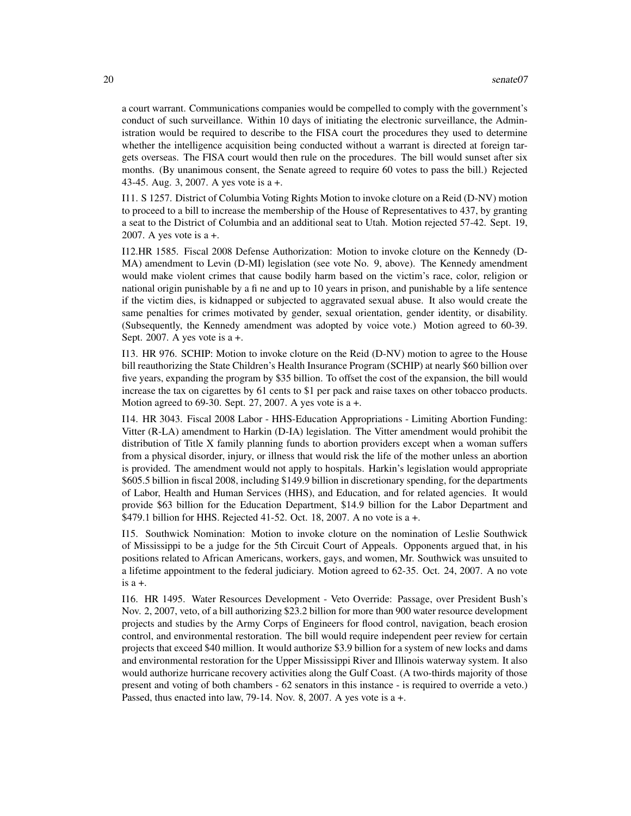a court warrant. Communications companies would be compelled to comply with the government's conduct of such surveillance. Within 10 days of initiating the electronic surveillance, the Administration would be required to describe to the FISA court the procedures they used to determine whether the intelligence acquisition being conducted without a warrant is directed at foreign targets overseas. The FISA court would then rule on the procedures. The bill would sunset after six months. (By unanimous consent, the Senate agreed to require 60 votes to pass the bill.) Rejected 43-45. Aug. 3, 2007. A yes vote is a +.

I11. S 1257. District of Columbia Voting Rights Motion to invoke cloture on a Reid (D-NV) motion to proceed to a bill to increase the membership of the House of Representatives to 437, by granting a seat to the District of Columbia and an additional seat to Utah. Motion rejected 57-42. Sept. 19, 2007. A yes vote is a +.

I12.HR 1585. Fiscal 2008 Defense Authorization: Motion to invoke cloture on the Kennedy (D-MA) amendment to Levin (D-MI) legislation (see vote No. 9, above). The Kennedy amendment would make violent crimes that cause bodily harm based on the victim's race, color, religion or national origin punishable by a fi ne and up to 10 years in prison, and punishable by a life sentence if the victim dies, is kidnapped or subjected to aggravated sexual abuse. It also would create the same penalties for crimes motivated by gender, sexual orientation, gender identity, or disability. (Subsequently, the Kennedy amendment was adopted by voice vote.) Motion agreed to 60-39. Sept. 2007. A yes vote is  $a +$ .

I13. HR 976. SCHIP: Motion to invoke cloture on the Reid (D-NV) motion to agree to the House bill reauthorizing the State Children's Health Insurance Program (SCHIP) at nearly \$60 billion over five years, expanding the program by \$35 billion. To offset the cost of the expansion, the bill would increase the tax on cigarettes by 61 cents to \$1 per pack and raise taxes on other tobacco products. Motion agreed to 69-30. Sept. 27, 2007. A yes vote is a +.

I14. HR 3043. Fiscal 2008 Labor - HHS-Education Appropriations - Limiting Abortion Funding: Vitter (R-LA) amendment to Harkin (D-IA) legislation. The Vitter amendment would prohibit the distribution of Title X family planning funds to abortion providers except when a woman suffers from a physical disorder, injury, or illness that would risk the life of the mother unless an abortion is provided. The amendment would not apply to hospitals. Harkin's legislation would appropriate \$605.5 billion in fiscal 2008, including \$149.9 billion in discretionary spending, for the departments of Labor, Health and Human Services (HHS), and Education, and for related agencies. It would provide \$63 billion for the Education Department, \$14.9 billion for the Labor Department and \$479.1 billion for HHS. Rejected 41-52. Oct. 18, 2007. A no vote is a +.

I15. Southwick Nomination: Motion to invoke cloture on the nomination of Leslie Southwick of Mississippi to be a judge for the 5th Circuit Court of Appeals. Opponents argued that, in his positions related to African Americans, workers, gays, and women, Mr. Southwick was unsuited to a lifetime appointment to the federal judiciary. Motion agreed to 62-35. Oct. 24, 2007. A no vote is a +.

I16. HR 1495. Water Resources Development - Veto Override: Passage, over President Bush's Nov. 2, 2007, veto, of a bill authorizing \$23.2 billion for more than 900 water resource development projects and studies by the Army Corps of Engineers for flood control, navigation, beach erosion control, and environmental restoration. The bill would require independent peer review for certain projects that exceed \$40 million. It would authorize \$3.9 billion for a system of new locks and dams and environmental restoration for the Upper Mississippi River and Illinois waterway system. It also would authorize hurricane recovery activities along the Gulf Coast. (A two-thirds majority of those present and voting of both chambers - 62 senators in this instance - is required to override a veto.) Passed, thus enacted into law, 79-14. Nov. 8, 2007. A yes vote is a +.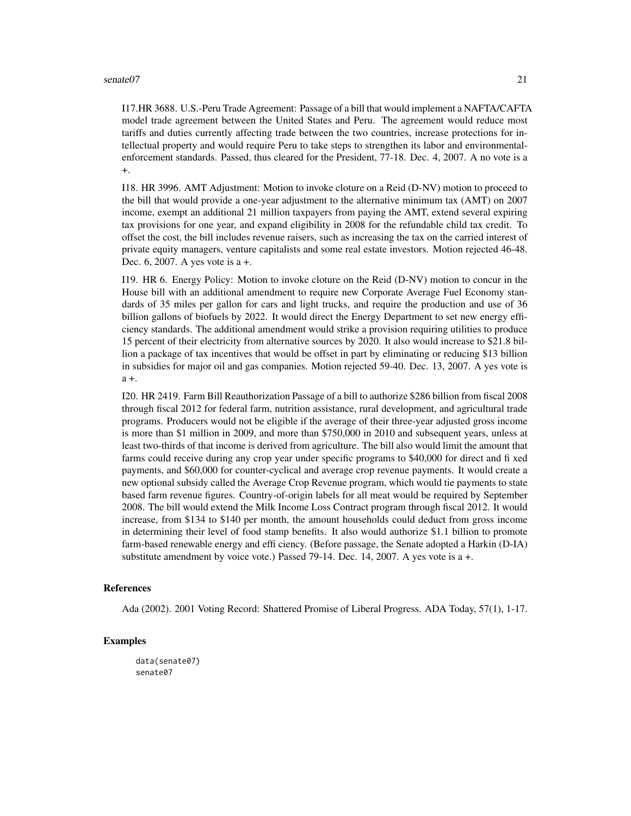#### senate07 21

I17.HR 3688. U.S.-Peru Trade Agreement: Passage of a bill that would implement a NAFTA/CAFTA model trade agreement between the United States and Peru. The agreement would reduce most tariffs and duties currently affecting trade between the two countries, increase protections for intellectual property and would require Peru to take steps to strengthen its labor and environmentalenforcement standards. Passed, thus cleared for the President, 77-18. Dec. 4, 2007. A no vote is a +.

I18. HR 3996. AMT Adjustment: Motion to invoke cloture on a Reid (D-NV) motion to proceed to the bill that would provide a one-year adjustment to the alternative minimum tax (AMT) on 2007 income, exempt an additional 21 million taxpayers from paying the AMT, extend several expiring tax provisions for one year, and expand eligibility in 2008 for the refundable child tax credit. To offset the cost, the bill includes revenue raisers, such as increasing the tax on the carried interest of private equity managers, venture capitalists and some real estate investors. Motion rejected 46-48. Dec. 6, 2007. A yes vote is a +.

I19. HR 6. Energy Policy: Motion to invoke cloture on the Reid (D-NV) motion to concur in the House bill with an additional amendment to require new Corporate Average Fuel Economy standards of 35 miles per gallon for cars and light trucks, and require the production and use of 36 billion gallons of biofuels by 2022. It would direct the Energy Department to set new energy efficiency standards. The additional amendment would strike a provision requiring utilities to produce 15 percent of their electricity from alternative sources by 2020. It also would increase to \$21.8 billion a package of tax incentives that would be offset in part by eliminating or reducing \$13 billion in subsidies for major oil and gas companies. Motion rejected 59-40. Dec. 13, 2007. A yes vote is a +.

I20. HR 2419. Farm Bill Reauthorization Passage of a bill to authorize \$286 billion from fiscal 2008 through fiscal 2012 for federal farm, nutrition assistance, rural development, and agricultural trade programs. Producers would not be eligible if the average of their three-year adjusted gross income is more than \$1 million in 2009, and more than \$750,000 in 2010 and subsequent years, unless at least two-thirds of that income is derived from agriculture. The bill also would limit the amount that farms could receive during any crop year under specific programs to \$40,000 for direct and fi xed payments, and \$60,000 for counter-cyclical and average crop revenue payments. It would create a new optional subsidy called the Average Crop Revenue program, which would tie payments to state based farm revenue figures. Country-of-origin labels for all meat would be required by September 2008. The bill would extend the Milk Income Loss Contract program through fiscal 2012. It would increase, from \$134 to \$140 per month, the amount households could deduct from gross income in determining their level of food stamp benefits. It also would authorize \$1.1 billion to promote farm-based renewable energy and effi ciency. (Before passage, the Senate adopted a Harkin (D-IA) substitute amendment by voice vote.) Passed 79-14. Dec. 14, 2007. A yes vote is a +.

#### References

Ada (2002). 2001 Voting Record: Shattered Promise of Liberal Progress. ADA Today, 57(1), 1-17.

#### Examples

data(senate07) senate07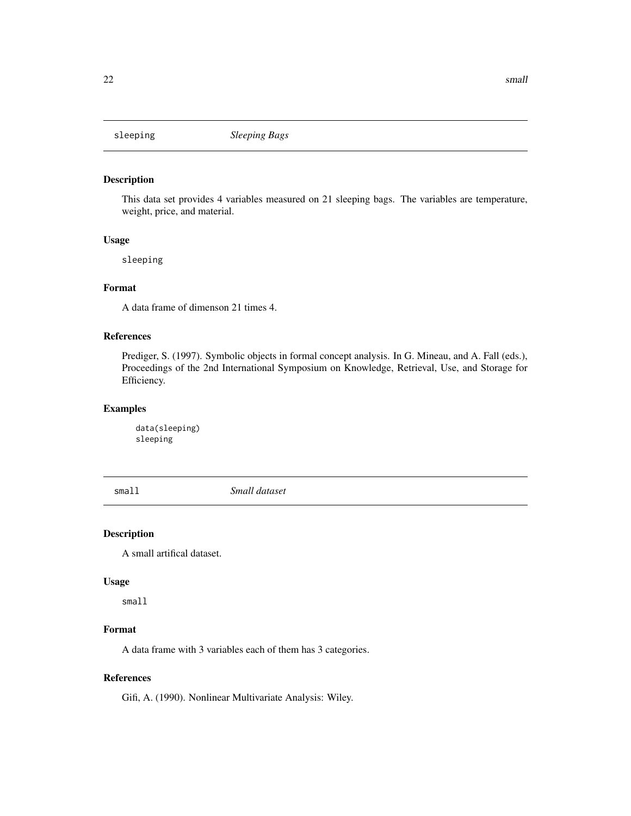<span id="page-21-0"></span>

#### Description

This data set provides 4 variables measured on 21 sleeping bags. The variables are temperature, weight, price, and material.

#### Usage

sleeping

#### Format

A data frame of dimenson 21 times 4.

#### References

Prediger, S. (1997). Symbolic objects in formal concept analysis. In G. Mineau, and A. Fall (eds.), Proceedings of the 2nd International Symposium on Knowledge, Retrieval, Use, and Storage for Efficiency.

#### Examples

data(sleeping) sleeping

small *Small dataset*

#### Description

A small artifical dataset.

#### Usage

small

#### Format

A data frame with 3 variables each of them has 3 categories.

#### References

Gifi, A. (1990). Nonlinear Multivariate Analysis: Wiley.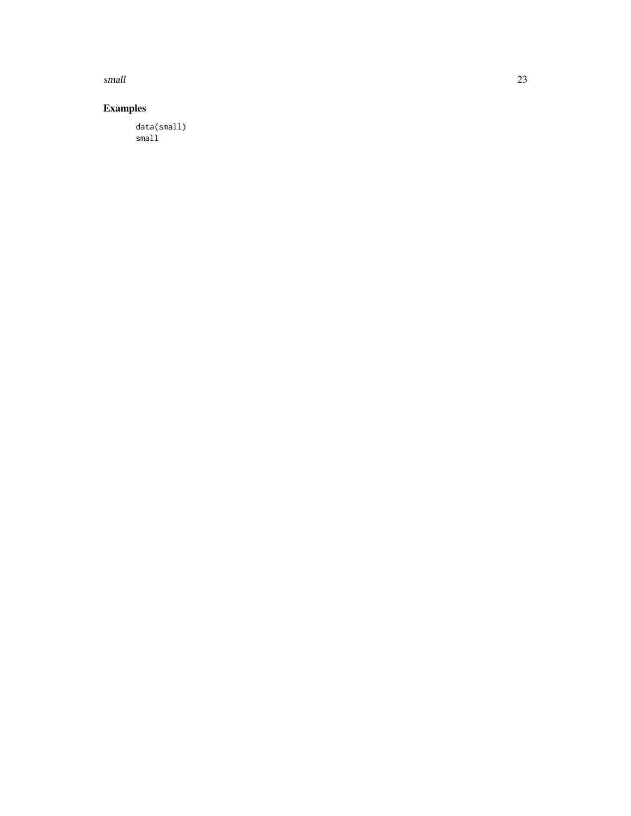small 23

#### Examples

data(small) small